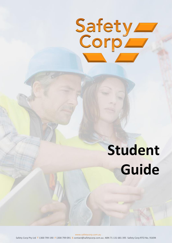

# **Student Guide**

www.safetycorp.com.au Safety Corp Pty Ltd **T** 1300 799 190 **F** 1300 799 091 **E** contact@safetycorp.com.au ABN 71 131 681 395 Safety Corp RTO No. 91694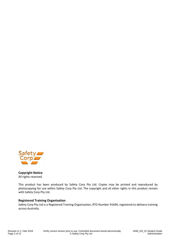

# **Copyright Notice**

All rights reserved.

This product has been produced by Safety Corp Pty Ltd. Copies may be printed and reproduced by photocopying for use within Safety Corp Pty Ltd. The copyright and all other rights in this product remain with Safety Corp Pty Ltd.

#### **Registered Training Organisation**

Safety Corp Pty Ltd is a Registered Training Organisation, RTO Number 91694, registered to delivery training across Australia.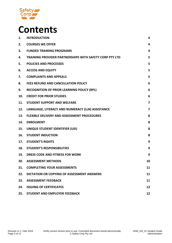

# **Contents**

| 1.  | <b>INTRODUCTION</b>                                            | 4                       |
|-----|----------------------------------------------------------------|-------------------------|
| 2.  | <b>COURSES WE OFFER</b>                                        | 4                       |
| 3.  | <b>FUNDED TRAINING PROGRAMS</b>                                | 4                       |
| 4.  | <b>TRAINING PROVIDER PARTNERSHIPS WITH SAFETY CORP PTY LTD</b> | 5                       |
| 5.  | <b>POLICIES AND PROCESSES</b>                                  | 5                       |
| 6.  | <b>ACCESS AND EQUITY</b>                                       | 5                       |
| 7.  | <b>COMPLAINTS AND APPEALS</b>                                  | 5                       |
| 8.  | FEES REFUND AND CANCELLATION POLICY                            | 6                       |
| 9.  | <b>RECOGNITION OF PRIOR LEARNING POLICY (RPL)</b>              | 6                       |
| 10. | <b>CREDIT FOR PRIOR STUDIES</b>                                | 6                       |
| 11. | <b>STUDENT SUPPORT AND WELFARE</b>                             | $\overline{\mathbf{z}}$ |
| 12. | LANGUAGE, LITERACY AND NUMERACY (LLN) ASSISTANCE               | $\overline{7}$          |
| 13. | <b>FLEXIBLE DELIVERY AND ASSESSMENT PROCEDURES</b>             | 8                       |
| 14. | <b>ENROLMENT</b>                                               | 8                       |
| 15. | UNIQUE STUDENT IDENTIFIER (USI)                                | 8                       |
| 16. | <b>STUDENT INDUCTION</b>                                       | 8                       |
| 17. | <b>STUDENT'S RIGHTS</b>                                        | 9                       |
| 18. | <b>STUDENT'S RESPONSIBILITIES</b>                              | 9                       |
| 19. | <b>DRESS CODE AND FITNESS FOR WORK</b>                         | 9                       |
| 20. | <b>ASSESSMENT METHODS</b>                                      | 10                      |
| 21. | <b>COMPLETING YOUR ASSESSMENTS</b>                             | 11                      |
| 22. | <b>DICTATION OR COPYING OF ASSESSMENT ANSWERS</b>              | 11                      |
| 23. | <b>ASSESSMENT FEEDBACK</b>                                     | 11                      |
| 24. | <b>ISSUING OF CERTIFICATES</b>                                 | 12                      |
| 25. | <b>STUDENT AND EMPLOYER FEEDBACK</b>                           | 12                      |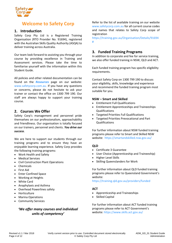

# **Welcome to Safety Corp**

#### <span id="page-3-0"></span>**1. Introduction**

Safety Corp Pty Ltd is a Registered Training Organisation (RTO Provider No. 91694), registered with the Australian Skills Quality Authority (ASQA) to deliver training across Australia.

Our team look forward to assisting you through your course by providing excellence in Training and Assessment services. Please take the time to familiarise yourself with the information within this Student Guide.

All policies and other related documentation can be found on the *[Resources](http://www.safetycorp.com.au/resources)* page on our website: [www.safetycorp.com.au.](http://www.safetycorp.com.au/) If you have any questions or concerns, please do not hesitate to ask your trainer or contact the office on 1300 799 190. Our staff are always happy to support your training course.

#### <span id="page-3-1"></span>**2. Courses We Offer**

Safety Corp's management and personnel pride themselves on our professionalism, approachability and friendliness. Our organisation is totally focused on our trainers, personnel and clients. *You drive our success*.

We are here to support our students through our training programs and to ensure they have an enjoyable learning experience. Safety Corp provides the following training programs:

- Work Health and Safety
- Medical Services
- Civil Construction Plant Operations
- Chemicals
- First Aid
- Enter Confined Space
- Working at Heights
- White Card
- Anaphylaxis and Asthma
- Overhead Powerlines safety
- Horticulture
- Marina Operations
- Community Services

#### *'We offer many courses and individual units of competency'*

Refer to the list of available training on our website [www.safetycorp.com.au](http://www.safetycorp.com.au/) for all current course codes and names that relates to Safety Corp scope of registration

<https://training.gov.au/Organisation/Details/91694> [#](https://training.gov.au/Organisation/Details/91694)

#### <span id="page-3-2"></span>**3. Funded Training Programs**

In addition to corporate and fee for service training, we also offer funded training in NSW, QLD and ACT.

Each funded training program has specific eligibility requirements.

Contact Safety Corp on 1300 799 190 to discuss your eligibility, skills, knowledge and experience and recommend the funded training program most suitable for you.

#### **NSW – Smart and Skilled**

- Entitlement Full Qualifications
- Entitlement Apprenticeships and Traineeships Qualifications
- Targeted Priorities Full Qualifications
- Targeted Priorities Prevocational and Part **Qualifications**

For further information about NSW funded training programs please refer to Smart and Skilled NSW website: <https://smartandskilled.nsw.gov.au/>

#### **QLD**

- Certificate 3 Guarantee
- User Choice (Apprenticeship and Traineeship)
- Higher Level Skills
- Skilling Queenslanders for Work

For further information about QLD funded training programs please refer to Queensland Government's website:

<https://training.qld.gov.au/providers/funded>

#### **ACT**

- Apprenticeship and Traineeships
- Skilled Capital

For further information about ACT funded training programs please refer to ACT Government's website: <https://www.skills.act.gov.au/>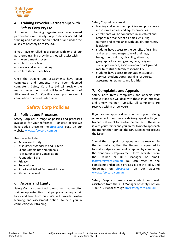

#### <span id="page-4-0"></span>**4. Training Provider Partnerships with Safety Corp Pty Ltd**

A number of training organisations have formed partnerships with Safety Corp to deliver accredited training and assessment on behalf of and under the auspices of Safety Corp Pty Ltd.

If you have enrolled in a course with one of our partnered training providers, they will assist with:

- the enrolment process
- collect course fees
- deliver and assess training
- collect student feedback

Once the training and assessments have been completed and students have been deemed competent, Safety Corp Pty Ltd will review the marked assessments and will issue Statements of Attainment and/or Qualifications upon successful completion of accredited courses.

# **Safety Corp Policies**

#### <span id="page-4-1"></span>**5. Policies and Processes**

Safety Corp has a range of policies and processes available, for your reference. For ease of use we have added these to the *[Resources](http://www.safetycorp.com.au/resources)* page on our website [www.safetycorp.com.au](http://www.safetycorp.com.au/)

Resources include:

- Access and Equity
- Assessment Standards and Criteria
- Client Complaints and Appeals
- Fees Refunds and Cancellation
- Foundation Skills
- Privacy
- Recognition
- Smart and Skilled Enrolment Process
- Students Record

#### <span id="page-4-2"></span>**6. Access and Equity**

Safety Corp is committed to ensuring that we offer training opportunities to all people on an equal fair basis and free from bias. We will provide flexible learning and assessment options to help you in completing your training.

Safety Corp will ensure all:

- training and assessment policies and procedures incorporate access and equity principles
- enrolments will be conducted in an ethical and responsible manner at all times, ensuring fairness and compliance with Equal Opportunity legislation
- students have access to the benefits of training and assessment irrespective of their age, background, culture, disability, ethnicity, geographic location, gender, race, religion, sexual preference, socio-economic background, marital status or family responsibility
- students have access to our student support services, student portal, training resources, assessments, trainers, and facilities

#### <span id="page-4-3"></span>**7. Complaints and Appeals**

Safety Corp treats complaints and appeals very seriously and we will deal with these in an effective and timely manner. Typically, all complaints are resolved within three weeks.

If you are unhappy or dissatisfied with your training or an aspect of our service delivery, speak with your trainer in attempt to resolve the matter. If the issue is with your trainer and you prefer to not to approach the trainer, then contact the RTO Manager to discuss the issue.

Should the complaint or appeal not be resolved in the first instance, then the Student is requested to formally lodge a complaint or appeal by completing the Continuous Improvement form available from the Trainer or RTO Manager or email: [rto@safetycorp.com.au](mailto:rto@safetycorp.com.au) You can refer to the complaints and appeals process as per the Policy and Guidelines on *[Resources](http://www.safetycorp.com.au/resources)* on our website: [www.safetycorp.com.au](http://www.safetycorp.com.au/)

Safety Corp customers can contact and seek assistance from the RTO Manager of Safety Corp on 1300 799 190 or throug[h rto@safetycorp.com.au](mailto:rto@safetycorp.com.au)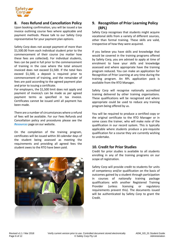

#### <span id="page-5-0"></span>**8. Fees Refund and Cancellation Policy**

Upon booking confirmation, you will be issued a tax invoice outlining course fees where applicable and payment methods. Please talk to our Safety Corp representative for your payment plan options.

Safety Corp does not accept payment of more than \$1,500.00 from each individual student prior to the commencement of their course (no matter how these fees are collected). For individual students, fees can be paid in full prior to the commencement of training in the case where the total amount invoiced does not exceed \$1,500. If the total fees exceed \$1,500, a deposit is required prior to commencement of training, and the remainder of fees are paid according to the agreed payment plan and prior to issuing a certificate.

For employers, the \$1,500 limit does not apply and payment of invoice/s can be made as per agreed payment terms as specified in tax invoice. Certificates cannot be issued until all payment has been made.

There are a number of circumstances where a refund of fees will be available. For our Fees Refunds and Cancellation policy and procedures please see the *[Resources](http://www.safetycorp.com.au/resources)* page on our website.

On the completion of the training program, certificates will be issued within 30 calendar days of the student being assessed as meeting the requirements and providing all agreed fees the student owes to the RTO have been paid.



#### <span id="page-5-1"></span>**9. Recognition of Prior Learning Policy (RPL)**

Safety Corp recognises that students might acquire vocational skills from a variety of different sources, other than formal training. These skills are valid, irrespective of how they were acquired.

If you believe you have skills and knowledge that would be covered in the training programs offered by Safety Corp, you are advised to apply at time of enrolment to have your skills and knowledge assessed and where appropriate have the training program reduced. You can make an application for Recognition of Prior Learning at any time during the training program. An RPL application pack is available from the RTO Manager.

Safety Corp will recognise nationally accredited training delivered by other training organisations. These qualifications will be recognised and where appropriate could be used to reduce any training program being offered by us.

You will be required to produce a certified copy or the original certificate to the RTO Manager or in some cases the trainer, who will make note of the qualification in our record system. This is typically applicable where students produce a pre-requisite qualification for a course they are currently wishing to undertake.

#### <span id="page-5-2"></span>**10. Credit for Prior Studies**

Credit for prior studies is available to all students enrolling in any of the training programs on our scope of registration.

Safety Corp will provide credit to students for units of competency and/or qualification on the basis of outcomes gained by a student through participation in courses of nationally training package qualifications with another Registered Training Provider (unless licensing or regulatory requirements prevent this). The documents issued will be authenticated by Safety Corp to grant the Credit.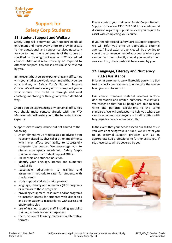

# **Support for Safety Corp Students**

#### <span id="page-6-0"></span>**11. Student Support and Welfare**

Safety Corp will determine your support needs at enrolment and make every effort to provide access to the educational and support services necessary for you to meet the requirements of the course as specified in training packages or VET accredited courses. Additional resources may be required to offer this support. If so, these costs must be covered by you.

In the event that you are experiencing any difficulties with your studies we would recommend that you see your trainer, or Safety Corp's Student Support Officer. We will make every effort to support you in your studies; this could be through additional coaching, mentoring or through any other identified way.

Should you be experiencing any personal difficulties you should make contact directly with the RTO Manager who will assist you to the full extent of our capacity.

Support services may include but not limited to the following:

- At enrolment, you are requested to advise if you have any disability, physical or other impairments which may affect your ability to successfully complete the course. We encourage you to discuss your special needs with Safety Corp's trainers and/or our Student Support Officer
- Traineeship and student induction
- identify your language, literacy and numeracy (LLN) skills
- reasonable adjustments to training and assessment methods to cater for students with special needs
- study support and study skills program
- language, literacy and numeracy (LLN) programs or referrals to these programs
- providing equipment, resources and/or programs to increase access for students with disabilities and other students in accordance with access and equity principles
- use of trained support staff including specialist trainers, note-takes and interpreters
- the provision of learning materials in alternative formats

Please contact your trainer or Safety Corp's Student Support Officer on 1300 799 190 for a confidential discussion regarding support services you require to assist with completing your course.

If your needs exceed Safety Corp's support capacity, we will refer you onto an appropriate external agency. A list of external agencies will be provided to you at the commencement of your course where you can contact them directly should you require their services. If so, these costs will be covered by you.

#### <span id="page-6-1"></span>**12. Language, Literacy and Numeracy (LLN) Assistance**

Prior or at enrolment, we will provide you with a LLN test to check your readiness to undertake the course level you wish to enrol in.

Our course standard material contains written documentation and limited numerical calculations. We recognise that not all people are able to read, write and perform calculations to the same standards. We will endeavour to help you where we can to accommodate anyone with difficulties with language, literacy or numeracy (LLN).

In the event that your needs exceed our skill to assist you with enhancing your LLN skills, we will refer you to an external support provider such as an appropriate LLN professional to further assist you. If so, these costs will be covered by you.

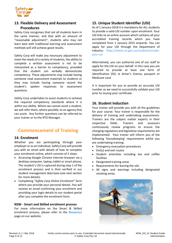

#### <span id="page-7-0"></span>**13. Flexible Delivery and Assessment Procedures**

Safety Corp recognises that not all students learn in the same manner, and that with an amount of "reasonable adjustment", students who may not learn best with traditional learning and assessment methods will still achieve good results.

Safety Corp will make any necessary adjustment to meet the needs of a variety of students, the ability to complete a written assessment is not to be interpreted as a barrier to competency, provided that the student can verbally demonstrate competency. These adjustments may include having someone read assessment materials to students or they may include having someone record the student's spoken responses to assessment questions.

Safety Corp undertakes to assist students to achieve the required competency standards where it is within our ability. Where we cannot assist a student, we will refer them, where possible, to an agency that can assist. Any further questions can be referred to your trainer or to the RTO Manager.

## **Commencement of Training**

#### <span id="page-7-1"></span>**14. Enrolment**

Whether you are participating through your employer or as an individual, Safety Corp will provide you with an email with details of how to complete your enrolment online, which consists of 2 steps:

- Accessing Google Chrome internet browser via a desktop computer, laptop, tablet or smart phone. The student's USI is captured during step 1 of the enrolment process and is then verified in our student management data base (see next section for more details).
- Completing "*Safety Corp Online Enrolment*" form where you provide your personal details. You will receive an email confirming your enrolment and providing your login details to our student portal after you complete the enrolment form.

#### **NSW - Smart and Skilled enrolment process**

For more information on the Smart & Skilled enrolment process, please refer to the *[Resources](http://www.safetycorp.com.au/resources)* page on our website.

#### <span id="page-7-2"></span>**15. Unique Student Identifier (USI)**

As of 1 January 2018 it is mandatory for ALL students to provide a valid USI number upon enrolment. Your USI links to an online account which contains all your accredited training records which you have completed from 1 January 2015 onwards. You can apply for your USI through the Department of Industry: [https://www.usi.gov.au/students/create](https://www.usi.gov.au/students/create-your-usi)[your-usi](https://www.usi.gov.au/students/create-your-usi)

Alternatively, you can authorise one of our staff to apply for the USI on your behalf. In this case you are required to provide at least one form of identification (ID); ie driver's licence, passport or Medicare card.

It is important for you to provide an accurate USI number as we need to successfully validate your USI prior to issuing your certificate.

#### <span id="page-7-3"></span>**16. Student Induction**

Your trainer will provide you with all the guidelines for your course. Your trainer is responsible for the delivery of training and undertaking assessments. Trainers are the subject matter experts in their respective fields. Trainers and assessors continuously review programs to ensure the changing regulatory and legislative requirements are implemented. Your trainer will inform you of the following 'housekeeping' requirements whilst you are undertaking training:

- Emergency evacuation procedures
- Exit(s) and exit routes
- Student amenities including tea and coffee facilities
- Designated training areas
- Requirements for leaving the site
- All signs and warnings including designated smoking areas.

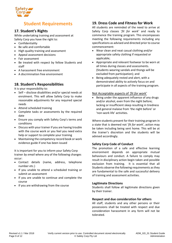

# **Student Requirements**

#### <span id="page-8-0"></span>**17. Student's Rights**

While undertaking training and assessment at Safety Corp you have the right to:

- Confidentiality
- Be safe and comfortable
- High quality training and assessment
- Appeal assessment decisions
- Fair assessment
- Be treated with respect by fellow Students and staff
- A harassment free environment
- A discrimination free environment

#### <span id="page-8-1"></span>**18. Student's Responsibilities**

It is your responsibility to:

- Self disclose disabilities and/or special needs at enrolment. This will allow Safety Corp to make reasonable adjustments for any required special needs
- Attend scheduled training
- Complete tasks or assessments by the required date
- Ensure you comply with Safety Corp's terms and conditions
- Discuss with your trainer if you are having trouble with the course work or you feel you need extra help or support to complete your training
- Maintaining the competency record book or work evidence guide if one has been issued

It is important for you to inform your Safety Corp trainer *by email* where any of the following changes occur:

- Contact details (name, address, telephone number etc.)
- If you unable to attend a scheduled training or submit an assessment
- If you are unable to continue and complete the course
- If you are withdrawing from the course

#### <span id="page-8-2"></span>**19. Dress Code and Fitness for Work**

All students are reminded of the need to arrive at Safety Corp classes '*fit for work'* and ready to commence the training program. This encompasses meeting the following requirements including any specifications as advised and directed prior to course commencement:

- Wear clean and neat casual clothing and/or appropriate safety clothing if requested or applicable;
- Appropriate and relevant footwear to be worn at all times during classes and assessments. (Students wearing sandals and thongs will be excluded from participation); and
- Being adequately rested and alert, with a demonstrated ability to actively focus on and participate in all aspects of the training program.

#### Not Acceptable aspects of *'fit for work'*

Being under the apparent influence of any drugs and/or alcohol, even from the night before; lacking or insufficient sleep resulting in tiredness and general malaise from 'the night before' or 'non-work life' activities.

Where students present for their training program in a state that is deemed not '*fit for work*', action may be taken including being sent home. This will be at the trainer's discretion and the students will be advised accordingly.

#### **Safety Corp Code of Conduct**

The promotion of a safe and effective learning environment depends on appropriate mutual behaviours and conduct. A failure to comply may result in disciplinary action begin taken and possible exclusion from training. It is essential that all Students observe the following requirements as they are fundamental to the safe and successful delivery of training and assessment activities.

#### **Legitimate Directions**

Students shall follow all legitimate directions given by their trainer.

#### **Respect and due consideration for others**

All staff, students and any other persons or their possessions shall be treated with respect and due consideration harassment in any form will not be tolerated.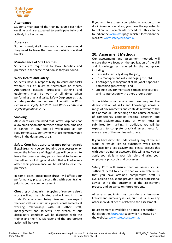

#### **Attendance**

Students must attend the training course each day on time and are expected to participate fully and actively in all activities.

#### **Absences**

Students must, at all times, notify the trainer should they need to leave the premises outside specified breaks.

#### **Maintenance of Site Facilities**

Students are requested to leave facilities and premises in the same condition as they are found.

#### **Work Health and Safety**

Students have a responsibility to carry out tasks without risk of injury to themselves or others. Appropriate personal protective clothing and equipment must be worn at all times when performing practical tasks. Safety Corp ensures that all safety related matters are in line with the *Work Health and Safety Act 2011* and *Work Health and Safety Regulations 2017.*

#### **Smoking**

All students are reminded that Safety Corp does not allow smoking on our premises and as such, smoking is banned in any and all workplaces as per requirements. Students who wish to smoke may only do so in the designated area.

**Safety Corp has a zero-tolerance policy** towards illegal drugs. Any person found to be in possession or under the influence of illegal drugs will be asked to leave the premises. Any person found to be under the influence of drugs or alcohol that will adversely affect their performance will be asked to leave the premises.

In some cases, prescription drugs, will affect your performance, please discuss this with your trainer prior to course commencement.

**Cheating or plagiarism** (copying of someone else's work) will not be tolerated and will result in the student's assessment being dismissed. We expect that our staff will maintain a professional and ethical working relationship with all other staff, management and students. Any breach of our disciplinary standards will be discussed with the trainer and the RTO Manager and the appropriate action will be taken.

If you wish to express a complaint in relation to the disciplinary action taken, you have the opportunity to follow our complaints procedure. This can be found on the *[Resources](http://www.safetycorp.com.au/resources)* page which is located on the website: [www.safetycorp.com.au](http://www.safetycorp.com.au/)

#### **Assessments**

#### <span id="page-9-0"></span>**20. Assessment Methods**

Our assessments and assessment methods will ensure that we focus on the application of the skill and knowledge as required in the workplace, including:

- Task skills (actually doing the job);
- Task management skills (managing the job);
- Contingency management skills (what happens if something goes wrong); and
- Job Role environments skills (managing your job and its interaction with others around you).

To validate your assessment, we require the demonstration of skills and knowledge across a range of environments and contexts relevant to the unit or module. Depending on the course each unit of competency contains reading, research and written assignments, some of which must be submitted for marking. In addition, you will be expected to complete practical assessments for some areas of the nominated course.

If you have difficulty understanding any of the set work, or would like to substitute work based evidence for a set assignment, please discuss this with your trainer or assessor. This will allow you to apply your skills in your job role and using your employer's protocols and processes.

Safety Corp will ensure that we assess you in sufficient detail to ensure that we can determine that you have attained competency. Staff is available to discuss and provide limited professional advice as to the outcomes of the assessment process and guidance on future options.

All assessment tasks must consider any language, literacy and numeracy issues, cultural issues or any other individual needs related to the assessment.

Re-assessment is available on appeal; see further details on the *[Resources](http://www.safetycorp.com.au/resources)* page which is located on the website: [www.safetycorp.com.au](http://www.safetycorp.com.au/)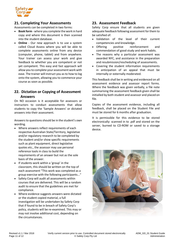

#### <span id="page-10-0"></span>**21. Completing Your Assessments**

Assessments can be completed in two forms:

- **Book form** where you complete the work in hard copy and where this document is then scanned into the student database.
- **Online** Our new approach is to use a system called Cloud Assess where you will be able to complete assessments online from any device (computer, phone, tablet) and from anywhere. Your trainer can assess your work and give feedback to whether you are competent or not yet competent. This easy and fast approach will allow you to complete your assessment work with ease. The trainer will instruct you as to how to log onto the system, allowing you to commence your course as soon as possible.

#### <span id="page-10-1"></span>**22. Dictation or Copying of Assessment Answers**

On NO occasion is it acceptable for assessors or instructors to conduct assessments that allow students to copy the 'Sample Answers' or dictated answers into their assessment.

Answers to questions should be in the student's own wording.

- Where answers reflect requirements of each respective Australian State/Territory, legislative and/or regulatory research to be completed by the student and/or show specific requirements such as plant equipment, direct legislative quotes etc., the assessor may use personal reference tools in class to build the requirements of an answer but not as the sole basis of the answer.
- If students work within a 'group' in the classroom, this should be written on the top of each assessment "This work was completed as a group exercise with the following participants..."
- Safety Corp will audit all assessments within courses that are delivered. This will be a random audit to ensure that the guidelines are met for compliance.
- Where evidence suggests answers were dictated or the student copied material, a full investigation will be undertaken by Safety Corp that if found to be in breach of Safety Corp's policy, students will be re-examined. This may or may not involve additional cost, depending on the circumstances.

#### <span id="page-10-2"></span>**23. Assessment Feedback**

Safety Corp ensure that all students are given adequate feedback following assessment for them to be satisfied of:

- Validation of the level of their current competencies and knowledge.
- Offering positive reinforcement and commendation of good study and work habits.
- The reasons why a particular assessment was awarded NYC, and assistance in the preparation and resubmission/rescheduling of assessments.
- Covering the student information requirements in anticipation of an appeal that must be internally or externally moderated.

This feedback shall be in writing and evidenced on all assessment evidence and assessor report forms. Where the feedback was given verbally, a file note summarising the assessment feedback given shall be initialled by both student and assessor and placed on file.

Copies of the assessment evidence, including all feedback, shall be placed on the Student File and must be stored for 6 months after graduation.

It is permissible for this evidence to be stored electronically: scanned in to .pdf and stored on the server, burned to CD-ROM or saved to a storage device.